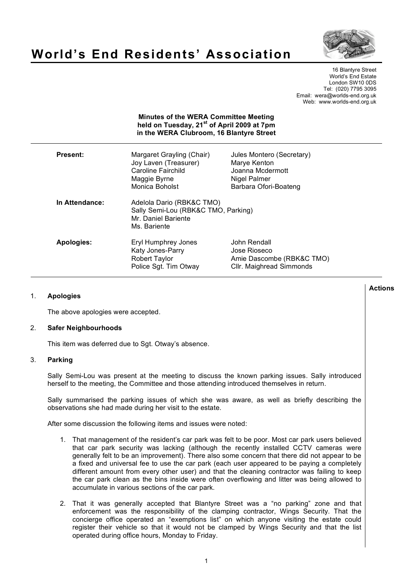

# **World's End Residents' Association**

16 Blantyre Street World's End Estate London SW10 0DS Tel: (020) 7795 3095 Email: wera@worlds-end.org.uk Web: www.worlds-end.org.uk

| <b>Minutes of the WERA Committee Meeting</b><br>held on Tuesday, 21 <sup>st</sup> of April 2009 at 7pm<br>in the WERA Clubroom, 16 Blantyre Street |                                                                                                            |                                                                                                        |  |
|----------------------------------------------------------------------------------------------------------------------------------------------------|------------------------------------------------------------------------------------------------------------|--------------------------------------------------------------------------------------------------------|--|
| <b>Present:</b>                                                                                                                                    | Margaret Grayling (Chair)<br>Joy Laven (Treasurer)<br>Caroline Fairchild<br>Maggie Byrne<br>Monica Boholst | Jules Montero (Secretary)<br>Marye Kenton<br>Joanna Mcdermott<br>Nigel Palmer<br>Barbara Ofori-Boateng |  |
| In Attendance:                                                                                                                                     | Adelola Dario (RBK&C TMO)<br>Sally Semi-Lou (RBK&C TMO, Parking)<br>Mr. Daniel Bariente<br>Ms. Bariente    |                                                                                                        |  |
| Apologies:                                                                                                                                         | Eryl Humphrey Jones<br>Katy Jones-Parry<br><b>Robert Taylor</b><br>Police Sgt. Tim Otway                   | John Rendall<br>Jose Rioseco<br>Amie Dascombe (RBK&C TMO)<br>Cllr. Maighread Simmonds                  |  |

### 1. **Apologies**

The above apologies were accepted.

#### 2. **Safer Neighbourhoods**

This item was deferred due to Sgt. Otway's absence.

## 3. **Parking**

Sally Semi-Lou was present at the meeting to discuss the known parking issues. Sally introduced herself to the meeting, the Committee and those attending introduced themselves in return.

Sally summarised the parking issues of which she was aware, as well as briefly describing the observations she had made during her visit to the estate.

After some discussion the following items and issues were noted:

- 1. That management of the resident's car park was felt to be poor. Most car park users believed that car park security was lacking (although the recently installed CCTV cameras were generally felt to be an improvement). There also some concern that there did not appear to be a fixed and universal fee to use the car park (each user appeared to be paying a completely different amount from every other user) and that the cleaning contractor was failing to keep the car park clean as the bins inside were often overflowing and litter was being allowed to accumulate in various sections of the car park.
- 2. That it was generally accepted that Blantyre Street was a "no parking" zone and that enforcement was the responsibility of the clamping contractor, Wings Security. That the concierge office operated an "exemptions list" on which anyone visiting the estate could register their vehicle so that it would not be clamped by Wings Security and that the list operated during office hours, Monday to Friday.

**Actions**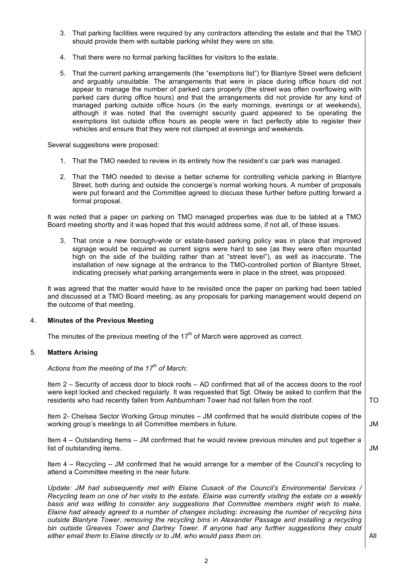- 3. That parking facilities were required by any contractors attending the estate and that the TMO should provide them with suitable parking whilst they were on site.
- 4. That there were no formal parking facilities for visitors to the estate.
- 5. That the current parking arrangements (the "exemptions list") for Blantyre Street were deficient and arguably unsuitable. The arrangements that were in place during office hours did not appear to manage the number of parked cars properly (the street was often overflowing with parked cars during office hours) and that the arrangements did not provide for any kind of managed parking outside office hours (in the early mornings, evenings or at weekends), although it was noted that the overnight security guard appeared to be operating the exemptions list outside office hours as people were in fact perfectly able to register their vehicles and ensure that they were not clamped at evenings and weekends.

Several suggestions were proposed:

- 1. That the TMO needed to review in its entirety how the resident's car park was managed.
- 2. That the TMO needed to devise a better scheme for controlling vehicle parking in Blantyre Street, both during and outside the concierge's normal working hours. A number of proposals were put forward and the Committee agreed to discuss these further before putting forward a formal proposal.

It was noted that a paper on parking on TMO managed properties was due to be tabled at a TMO Board meeting shortly and it was hoped that this would address some, if not all, of these issues.

3. That once a new borough-wide or estate-based parking policy was in place that improved signage would be required as current signs were hard to see (as they were often mounted high on the side of the building rather than at "street level"), as well as inaccurate. The installation of new signage at the entrance to the TMO-controlled portion of Blantyre Street, indicating precisely what parking arrangements were in place in the street, was proposed.

It was agreed that the matter would have to be revisited once the paper on parking had been tabled and discussed at a TMO Board meeting, as any proposals for parking management would depend on the outcome of that meeting.

## 4. **Minutes of the Previous Meeting**

The minutes of the previous meeting of the  $17<sup>th</sup>$  of March were approved as correct.

#### 5. **Matters Arising**

*Actions from the meeting of the 17th of March:*

Item 2 – Security of access door to block roofs – AD confirmed that all of the access doors to the roof were kept locked and checked regularly. It was requested that Sgt. Otway be asked to confirm that the residents who had recently fallen from Ashburnham Tower had not fallen from the roof.

Item 2- Chelsea Sector Working Group minutes – JM confirmed that he would distribute copies of the working group's meetings to all Committee members in future.

Item 4 – Outstanding Items – JM confirmed that he would review previous minutes and put together a list of outstanding items.

Item 4 – Recycling – JM confirmed that he would arrange for a member of the Council's recycling to attend a Committee meeting in the near future.

*Update: JM had subsequently met with Elaine Cusack of the Council's Environmental Services / Recycling team on one of her visits to the estate. Elaine was currently visiting the estate on a weekly basis and was willing to consider any suggestions that Committee members might wish to make. Elaine had already agreed to a number of changes including: increasing the number of recycling bins outside Blantyre Tower, removing the recycling bins in Alexander Passage and installing a recycling bin outside Greaves Tower and Dartrey Tower. If anyone had any further suggestions they could either email them to Elaine directly or to JM, who would pass them on.*

All

TO

JM

JM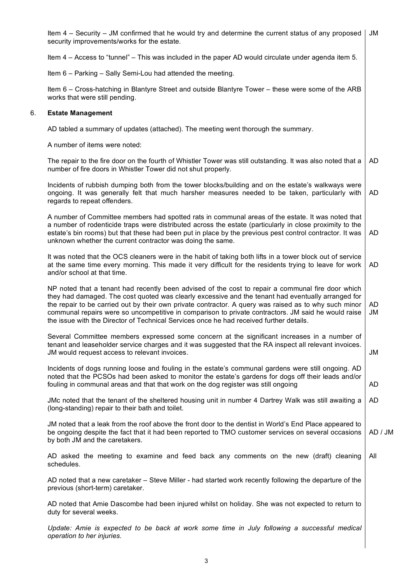|    | Item 4 – Security – JM confirmed that he would try and determine the current status of any proposed<br>security improvements/works for the estate.                                                                                                                                                                                                                                                                                                                                                                 |                 |  |
|----|--------------------------------------------------------------------------------------------------------------------------------------------------------------------------------------------------------------------------------------------------------------------------------------------------------------------------------------------------------------------------------------------------------------------------------------------------------------------------------------------------------------------|-----------------|--|
|    | Item 4 – Access to "tunnel" – This was included in the paper AD would circulate under agenda item 5.                                                                                                                                                                                                                                                                                                                                                                                                               |                 |  |
|    | Item 6 - Parking - Sally Semi-Lou had attended the meeting.                                                                                                                                                                                                                                                                                                                                                                                                                                                        |                 |  |
|    | Item 6 - Cross-hatching in Blantyre Street and outside Blantyre Tower - these were some of the ARB<br>works that were still pending.                                                                                                                                                                                                                                                                                                                                                                               |                 |  |
| 6. | <b>Estate Management</b>                                                                                                                                                                                                                                                                                                                                                                                                                                                                                           |                 |  |
|    | AD tabled a summary of updates (attached). The meeting went thorough the summary.                                                                                                                                                                                                                                                                                                                                                                                                                                  |                 |  |
|    | A number of items were noted:                                                                                                                                                                                                                                                                                                                                                                                                                                                                                      |                 |  |
|    | The repair to the fire door on the fourth of Whistler Tower was still outstanding. It was also noted that a<br>number of fire doors in Whistler Tower did not shut properly.                                                                                                                                                                                                                                                                                                                                       | AD              |  |
|    | Incidents of rubbish dumping both from the tower blocks/building and on the estate's walkways were<br>ongoing. It was generally felt that much harsher measures needed to be taken, particularly with<br>regards to repeat offenders.                                                                                                                                                                                                                                                                              | <b>AD</b>       |  |
|    | A number of Committee members had spotted rats in communal areas of the estate. It was noted that<br>a number of rodenticide traps were distributed across the estate (particularly in close proximity to the<br>estate's bin rooms) but that these had been put in place by the previous pest control contractor. It was<br>unknown whether the current contractor was doing the same.                                                                                                                            | AD              |  |
|    | It was noted that the OCS cleaners were in the habit of taking both lifts in a tower block out of service<br>at the same time every morning. This made it very difficult for the residents trying to leave for work<br>and/or school at that time.                                                                                                                                                                                                                                                                 | AD              |  |
|    | NP noted that a tenant had recently been advised of the cost to repair a communal fire door which<br>they had damaged. The cost quoted was clearly excessive and the tenant had eventually arranged for<br>the repair to be carried out by their own private contractor. A query was raised as to why such minor<br>communal repairs were so uncompetitive in comparison to private contractors. JM said he would raise<br>the issue with the Director of Technical Services once he had received further details. | <b>AD</b><br>JM |  |
|    | Several Committee members expressed some concern at the significant increases in a number of<br>tenant and leaseholder service charges and it was suggested that the RA inspect all relevant invoices.<br>JM would request access to relevant invoices.                                                                                                                                                                                                                                                            | JM              |  |
|    | Incidents of dogs running loose and fouling in the estate's communal gardens were still ongoing. AD<br>noted that the PCSOs had been asked to monitor the estate's gardens for dogs off their leads and/or<br>fouling in communal areas and that that work on the dog register was still ongoing                                                                                                                                                                                                                   | AD              |  |
|    | JMc noted that the tenant of the sheltered housing unit in number 4 Dartrey Walk was still awaiting a<br>(long-standing) repair to their bath and toilet.                                                                                                                                                                                                                                                                                                                                                          | <b>AD</b>       |  |
|    | JM noted that a leak from the roof above the front door to the dentist in World's End Place appeared to<br>be ongoing despite the fact that it had been reported to TMO customer services on several occasions<br>by both JM and the caretakers.                                                                                                                                                                                                                                                                   | AD / JM         |  |
|    | AD asked the meeting to examine and feed back any comments on the new (draft) cleaning<br>schedules.                                                                                                                                                                                                                                                                                                                                                                                                               | All             |  |
|    | AD noted that a new caretaker – Steve Miller - had started work recently following the departure of the<br>previous (short-term) caretaker.                                                                                                                                                                                                                                                                                                                                                                        |                 |  |
|    | AD noted that Amie Dascombe had been injured whilst on holiday. She was not expected to return to<br>duty for several weeks.                                                                                                                                                                                                                                                                                                                                                                                       |                 |  |
|    | Update: Amie is expected to be back at work some time in July following a successful medical<br>operation to her injuries.                                                                                                                                                                                                                                                                                                                                                                                         |                 |  |
|    |                                                                                                                                                                                                                                                                                                                                                                                                                                                                                                                    |                 |  |